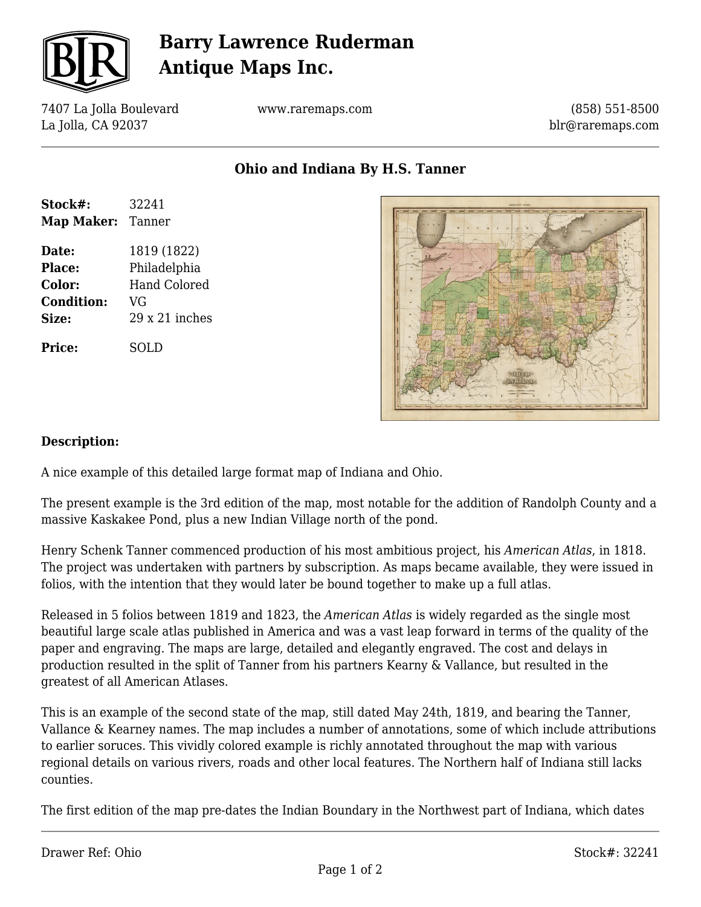

# **Barry Lawrence Ruderman Antique Maps Inc.**

7407 La Jolla Boulevard La Jolla, CA 92037

www.raremaps.com

(858) 551-8500 blr@raremaps.com

**Ohio and Indiana By H.S. Tanner**

| Stock#:           | 32241                 |
|-------------------|-----------------------|
| <b>Map Maker:</b> | Tanner                |
| Date:             | 1819 (1822)           |
| Place:            | Philadelphia          |
| Color:            | Hand Colored          |
| <b>Condition:</b> | VG                    |
| Size:             | $29 \times 21$ inches |
| <b>Price:</b>     | SOLD                  |



#### **Description:**

A nice example of this detailed large format map of Indiana and Ohio.

The present example is the 3rd edition of the map, most notable for the addition of Randolph County and a massive Kaskakee Pond, plus a new Indian Village north of the pond.

Henry Schenk Tanner commenced production of his most ambitious project, his *American Atlas*, in 1818. The project was undertaken with partners by subscription. As maps became available, they were issued in folios, with the intention that they would later be bound together to make up a full atlas.

Released in 5 folios between 1819 and 1823, the *American Atlas* is widely regarded as the single most beautiful large scale atlas published in America and was a vast leap forward in terms of the quality of the paper and engraving. The maps are large, detailed and elegantly engraved. The cost and delays in production resulted in the split of Tanner from his partners Kearny & Vallance, but resulted in the greatest of all American Atlases.

This is an example of the second state of the map, still dated May 24th, 1819, and bearing the Tanner, Vallance & Kearney names. The map includes a number of annotations, some of which include attributions to earlier soruces. This vividly colored example is richly annotated throughout the map with various regional details on various rivers, roads and other local features. The Northern half of Indiana still lacks counties.

The first edition of the map pre-dates the Indian Boundary in the Northwest part of Indiana, which dates